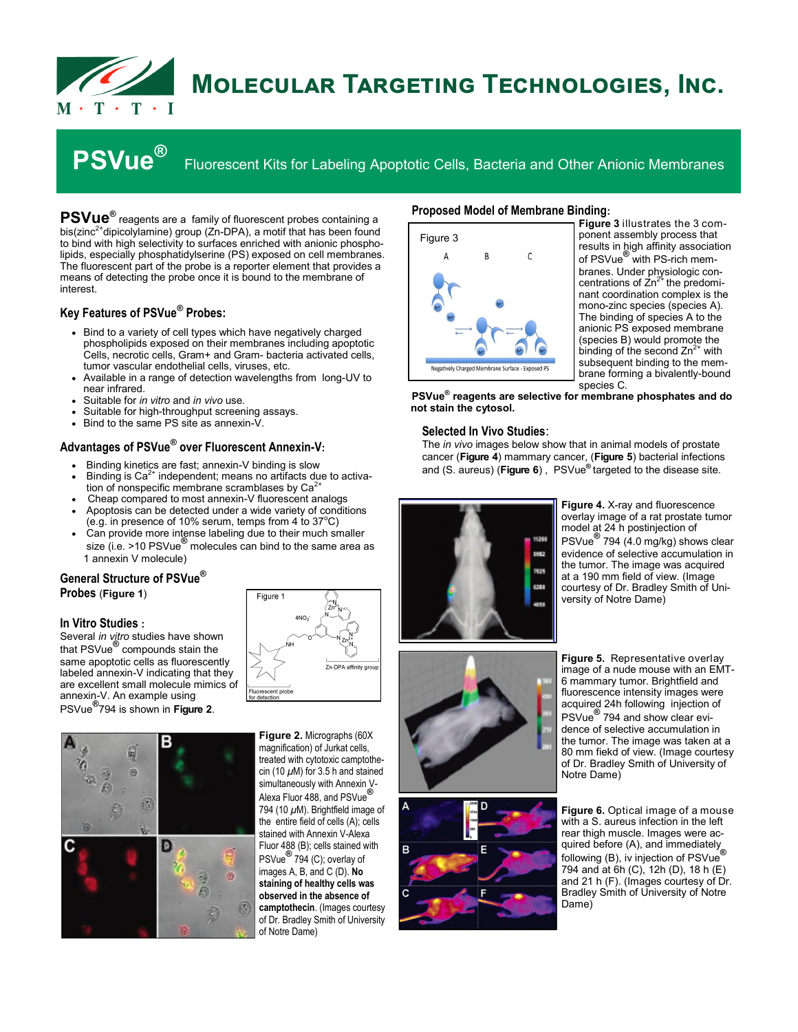

# **Molecular Targeting Technologies, Inc.**

**PSVue®**

Fluorescent Kits for Labeling Apoptotic Cells, Bacteria and Other Anionic Membranes

**PSVue®** reagents are a family of fluorescent probes containing a bis(zinc<sup>2+</sup>dipicolylamine) group (Zn-DPA), a motif that has been found to bind with high selectivity to surfaces enriched with anionic phospholipids, especially phosphatidylserine (PS) exposed on cell membranes. The fluorescent part of the probe is a reporter element that provides a means of detecting the probe once it is bound to the membrane of interest.

## **Key Features of PSVue® Probes:**

- Bind to a variety of cell types which have negatively charged phospholipids exposed on their membranes including apoptotic Cells, necrotic cells, Gram+ and Gram- bacteria activated cells, tumor vascular endothelial cells, viruses, etc.
- Available in a range of detection wavelengths from long-UV to near infrared.
- Suitable for *in vitro* and *in vivo* use.
- Suitable for high-throughput screening assays.
- Bind to the same PS site as annexin-V.

## **Advantages of PSVue® over Fluorescent Annexin-V:**

- Binding kinetics are fast; annexin-V binding is slow
- Binding is  $Ca<sup>2+</sup>$  independent; means no artifacts due to activation of nonspecific membrane scramblases by  $Ca<sup>2+</sup>$
- Cheap compared to most annexin-V fluorescent analogs
- Apoptosis can be detected under a wide variety of conditions (e.g. in presence of 10% serum, temps from 4 to  $37^{\circ}$ C)
- Can provide more intense labeling due to their much smaller size (i.e. >10 PSVue**®** molecules can bind to the same area as 1 annexin V molecule)

# **General Structure of PSVue® Probes** (**Figure 1**)

## **In Vitro Studies :**

Several *in vitro* studies have shown that PSVue**®** compounds stain the same apoptotic cells as fluorescently labeled annexin-V indicating that they are excellent small molecule mimics of annexin-V. An example using PSVue**®** 794 is shown in **Figure 2**.



**Figure 2.** Micrographs (60X magnification) of Jurkat cells, treated with cytotoxic camptothecin (10 *μ*M) for 3.5 h and stained simultaneously with Annexin V-Alexa Fluor 488, and PSVue<sup>6</sup> 794 (10 *μ*M). Brightfield image of the entire field of cells (A); cells stained with Annexin V-Alexa Fluor 488 (B); cells stained with PSVue**®** 794 (C); overlay of images A, B, and C (D). **No staining of healthy cells was observed in the absence of camptothecin**. (Images courtesy of Dr. Bradley Smith of University of Notre Dame)

B

#### **Proposed Model of Membrane Binding:**



**Figure 3** illustrates the 3 component assembly process that results in high affinity association of PSVue**®** with PS-rich membranes. Under physiologic con-<br>centrations of Zn<sup>2+</sup> the predominant coordination complex is the mono-zinc species (species A). The binding of species A to the anionic PS exposed membrane (species B) would promote the binding of the second  $Zn^{2+}$  with subsequent binding to the membrane forming a bivalently-bound species C.

**PSVue® reagents are selective for membrane phosphates and do not stain the cytosol.**

#### **Selected In Vivo Studies**:

The *in vivo* images below show that in animal models of prostate cancer (**Figure 4**) mammary cancer, (**Figure 5**) bacterial infections and (S. aureus) (**Figure 6**) , PSVue**®** targeted to the disease site.



**Figure 4.** X-ray and fluorescence overlay image of a rat prostate tumor model at 24 h postinjection of PSVue**®** 794 (4.0 mg/kg) shows clear evidence of selective accumulation in the tumor. The image was acquired at a 190 mm field of view. (Image courtesy of Dr. Bradley Smith of University of Notre Dame)





**Figure 6.** Optical image of a mouse with a S. aureus infection in the left rear thigh muscle. Images were acquired before (A), and immediately following (B), iv injection of PSVue**®** 794 and at 6h (C), 12h (D), 18 h (E) and 21 h (F). (Images courtesy of Dr. Bradley Smith of University of Notre Dame)